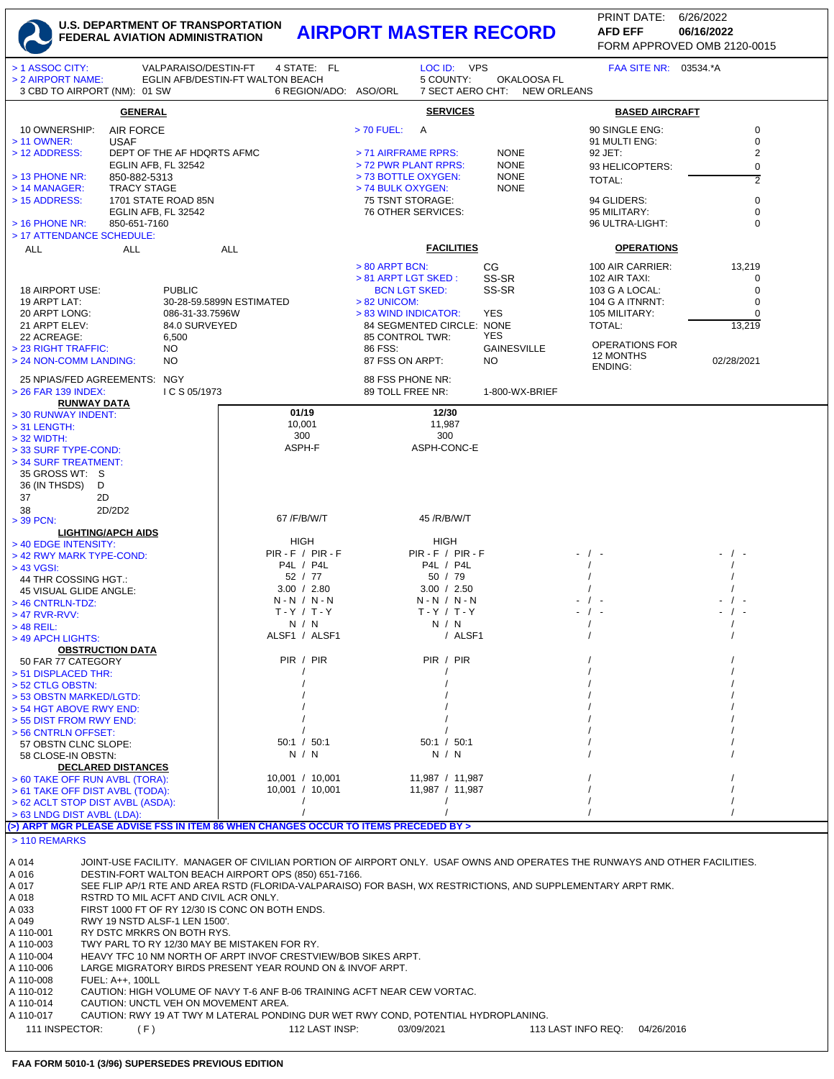| > 1 ASSOC CITY:<br>VALPARAISO/DESTIN-FT<br>> 2 AIRPORT NAME:<br>3 CBD TO AIRPORT (NM): 01 SW                                                                           | 4 STATE: FL<br>EGLIN AFB/DESTIN-FT WALTON BEACH<br>6 REGION/ADO: ASO/ORL | LOC ID: VPS<br>5 COUNTY:                          | OKALOOSA FL<br>7 SECT AERO CHT:<br><b>NEW ORLEANS</b> | FAA SITE NR: 03534.*A              |                               |
|------------------------------------------------------------------------------------------------------------------------------------------------------------------------|--------------------------------------------------------------------------|---------------------------------------------------|-------------------------------------------------------|------------------------------------|-------------------------------|
| <b>GENERAL</b>                                                                                                                                                         |                                                                          | <b>SERVICES</b>                                   |                                                       | <b>BASED AIRCRAFT</b>              |                               |
| 10 OWNERSHIP:<br><b>AIR FORCE</b><br>> 11 OWNER:<br><b>USAF</b>                                                                                                        |                                                                          | $> 70$ FUEL:<br>A                                 |                                                       | 90 SINGLE ENG:<br>91 MULTI ENG:    | 0<br>$\pmb{0}$                |
| > 12 ADDRESS:<br>DEPT OF THE AF HDQRTS AFMC<br>EGLIN AFB, FL 32542                                                                                                     |                                                                          | > 71 AIRFRAME RPRS:<br>> 72 PWR PLANT RPRS:       | <b>NONE</b><br><b>NONE</b>                            | 92 JET:<br>93 HELICOPTERS:         | $\overline{c}$<br>$\mathbf 0$ |
| $>$ 13 PHONE NR:<br>850-882-5313                                                                                                                                       |                                                                          | > 73 BOTTLE OXYGEN:                               | <b>NONE</b>                                           | TOTAL:                             | $\overline{2}$                |
| > 14 MANAGER:<br>TRACY STAGE                                                                                                                                           |                                                                          | > 74 BULK OXYGEN:                                 | <b>NONE</b>                                           |                                    |                               |
| > 15 ADDRESS:<br>1701 STATE ROAD 85N                                                                                                                                   |                                                                          | 75 TSNT STORAGE:                                  |                                                       | 94 GLIDERS:                        | 0<br>0                        |
| EGLIN AFB, FL 32542<br>$>$ 16 PHONE NR:<br>850-651-7160                                                                                                                |                                                                          | 76 OTHER SERVICES:                                |                                                       | 95 MILITARY:<br>96 ULTRA-LIGHT:    | 0                             |
| > 17 ATTENDANCE SCHEDULE:                                                                                                                                              |                                                                          |                                                   |                                                       |                                    |                               |
| <b>ALL</b><br><b>ALL</b>                                                                                                                                               | ALL                                                                      | <b>FACILITIES</b>                                 |                                                       | <b>OPERATIONS</b>                  |                               |
|                                                                                                                                                                        |                                                                          | > 80 ARPT BCN:                                    | CG                                                    | 100 AIR CARRIER:                   | 13,219                        |
|                                                                                                                                                                        |                                                                          | > 81 ARPT LGT SKED:                               | SS-SR                                                 | 102 AIR TAXI:                      | 0                             |
| <b>PUBLIC</b><br>18 AIRPORT USE:                                                                                                                                       |                                                                          | <b>BCN LGT SKED:</b>                              | SS-SR                                                 | 103 G A LOCAL:                     | 0                             |
| 19 ARPT LAT:                                                                                                                                                           | 30-28-59.5899N ESTIMATED                                                 | $> 82$ UNICOM:                                    |                                                       | 104 G A ITNRNT:                    | $\mathbf 0$                   |
| 20 ARPT LONG:<br>086-31-33.7596W<br>21 ARPT ELEV:<br>84.0 SURVEYED                                                                                                     |                                                                          | > 83 WIND INDICATOR:<br>84 SEGMENTED CIRCLE: NONE | YES                                                   | 105 MILITARY:<br>TOTAL:            | 0<br>13,219                   |
| 22 ACREAGE:<br>6,500                                                                                                                                                   |                                                                          | 85 CONTROL TWR:                                   | YES                                                   |                                    |                               |
| > 23 RIGHT TRAFFIC:<br>NO.                                                                                                                                             |                                                                          | 86 FSS:                                           | <b>GAINESVILLE</b>                                    | <b>OPERATIONS FOR</b><br>12 MONTHS |                               |
| > 24 NON-COMM LANDING:<br>NO                                                                                                                                           |                                                                          | 87 FSS ON ARPT:                                   | NO.                                                   | <b>ENDING:</b>                     | 02/28/2021                    |
| 25 NPIAS/FED AGREEMENTS: NGY                                                                                                                                           |                                                                          | 88 FSS PHONE NR:                                  |                                                       |                                    |                               |
| > 26 FAR 139 INDEX:<br>ICS 05/1973                                                                                                                                     |                                                                          | 89 TOLL FREE NR:                                  | 1-800-WX-BRIEF                                        |                                    |                               |
| <b>RUNWAY DATA</b><br>> 30 RUNWAY INDENT:                                                                                                                              | 01/19                                                                    | 12/30                                             |                                                       |                                    |                               |
| $>$ 31 LENGTH:                                                                                                                                                         | 10,001                                                                   | 11,987                                            |                                                       |                                    |                               |
| $>$ 32 WIDTH:                                                                                                                                                          | 300                                                                      | 300                                               |                                                       |                                    |                               |
| > 33 SURF TYPE-COND:                                                                                                                                                   | ASPH-F                                                                   | ASPH-CONC-E                                       |                                                       |                                    |                               |
| > 34 SURF TREATMENT:                                                                                                                                                   |                                                                          |                                                   |                                                       |                                    |                               |
| 35 GROSS WT: S                                                                                                                                                         |                                                                          |                                                   |                                                       |                                    |                               |
| 36 (IN THSDS)<br>D<br>37<br>2D                                                                                                                                         |                                                                          |                                                   |                                                       |                                    |                               |
| 2D/2D2<br>38                                                                                                                                                           |                                                                          |                                                   |                                                       |                                    |                               |
| $>$ 39 PCN:                                                                                                                                                            | 67 / F/B/W/T                                                             | 45 / R/ B/ W/ T                                   |                                                       |                                    |                               |
| <b>LIGHTING/APCH AIDS</b>                                                                                                                                              | HIGH                                                                     | HIGH                                              |                                                       |                                    |                               |
| > 40 EDGE INTENSITY:<br>> 42 RWY MARK TYPE-COND:                                                                                                                       | $PIR - F / PIR - F$                                                      | $PIR - F / PIR - F$                               |                                                       |                                    |                               |
| $> 43$ VGSI:                                                                                                                                                           | P4L / P4L                                                                | P4L / P4L                                         |                                                       |                                    |                               |
| 44 THR COSSING HGT.:                                                                                                                                                   | 52 / 77                                                                  | 50 / 79                                           |                                                       |                                    |                               |
| 45 VISUAL GLIDE ANGLE:                                                                                                                                                 | 3.00 / 2.80<br>$N - N / N - N$                                           | 3.00 / 2.50<br>$N - N / N - N$                    |                                                       |                                    |                               |
| > 46 CNTRLN-TDZ:<br>$>47$ RVR-RVV:                                                                                                                                     | $T - Y / T - Y$                                                          | $T - Y / T - Y$                                   |                                                       |                                    |                               |
| $>$ 48 REIL:                                                                                                                                                           | N / N                                                                    | N / N                                             |                                                       |                                    |                               |
| > 49 APCH LIGHTS:                                                                                                                                                      | ALSF1 / ALSF1                                                            |                                                   | / ALSF1                                               |                                    |                               |
| <b>OBSTRUCTION DATA</b>                                                                                                                                                | PIR / PIR                                                                | PIR / PIR                                         |                                                       |                                    |                               |
| 50 FAR 77 CATEGORY<br>> 51 DISPLACED THR:                                                                                                                              |                                                                          |                                                   |                                                       |                                    |                               |
| > 52 CTLG OBSTN:                                                                                                                                                       |                                                                          |                                                   |                                                       |                                    |                               |
| > 53 OBSTN MARKED/LGTD:                                                                                                                                                |                                                                          |                                                   |                                                       |                                    |                               |
| > 54 HGT ABOVE RWY END:<br>> 55 DIST FROM RWY END:                                                                                                                     |                                                                          |                                                   |                                                       |                                    |                               |
| > 56 CNTRLN OFFSET:                                                                                                                                                    |                                                                          |                                                   |                                                       |                                    |                               |
| 57 OBSTN CLNC SLOPE:                                                                                                                                                   | 50:1 / 50:1                                                              | 50:1 / 50:1                                       |                                                       |                                    |                               |
| 58 CLOSE-IN OBSTN:<br><b>DECLARED DISTANCES</b>                                                                                                                        | N / N                                                                    | N / N                                             |                                                       |                                    |                               |
| > 60 TAKE OFF RUN AVBL (TORA):                                                                                                                                         | 10,001 / 10,001                                                          | 11,987 / 11,987                                   |                                                       |                                    |                               |
| > 61 TAKE OFF DIST AVBL (TODA):                                                                                                                                        | 10,001 / 10,001                                                          | 11,987 / 11,987                                   |                                                       |                                    |                               |
| > 62 ACLT STOP DIST AVBL (ASDA):                                                                                                                                       |                                                                          | $\prime$                                          |                                                       |                                    |                               |
| > 63 LNDG DIST AVBL (LDA):<br>(>) ARPT MGR PLEASE ADVISE FSS IN ITEM 86 WHEN CHANGES OCCUR TO ITEMS PRECEDED BY >                                                      |                                                                          |                                                   |                                                       |                                    |                               |
| > 110 REMARKS                                                                                                                                                          |                                                                          |                                                   |                                                       |                                    |                               |
|                                                                                                                                                                        |                                                                          |                                                   |                                                       |                                    |                               |
| JOINT-USE FACILITY. MANAGER OF CIVILIAN PORTION OF AIRPORT ONLY. USAF OWNS AND OPERATES THE RUNWAYS AND OTHER FACILITIES.<br>A 014                                     |                                                                          |                                                   |                                                       |                                    |                               |
| DESTIN-FORT WALTON BEACH AIRPORT OPS (850) 651-7166.<br>A 016                                                                                                          |                                                                          |                                                   |                                                       |                                    |                               |
| SEE FLIP AP/1 RTE AND AREA RSTD (FLORIDA-VALPARAISO) FOR BASH, WX RESTRICTIONS, AND SUPPLEMENTARY ARPT RMK.<br>A 017<br>RSTRD TO MIL ACFT AND CIVIL ACR ONLY.<br>A 018 |                                                                          |                                                   |                                                       |                                    |                               |
| FIRST 1000 FT OF RY 12/30 IS CONC ON BOTH ENDS.<br>A 033                                                                                                               |                                                                          |                                                   |                                                       |                                    |                               |
| RWY 19 NSTD ALSF-1 LEN 1500'.<br>A 049                                                                                                                                 |                                                                          |                                                   |                                                       |                                    |                               |
| A 110-001<br>RY DSTC MRKRS ON BOTH RYS.                                                                                                                                |                                                                          |                                                   |                                                       |                                    |                               |
| A 110-003<br>TWY PARL TO RY 12/30 MAY BE MISTAKEN FOR RY.<br>A 110-004<br>HEAVY TFC 10 NM NORTH OF ARPT INVOF CRESTVIEW/BOB SIKES ARPT.                                |                                                                          |                                                   |                                                       |                                    |                               |
| A 110-006<br>LARGE MIGRATORY BIRDS PRESENT YEAR ROUND ON & INVOF ARPT.                                                                                                 |                                                                          |                                                   |                                                       |                                    |                               |
| A 110-008<br>FUEL: A++, 100LL                                                                                                                                          |                                                                          |                                                   |                                                       |                                    |                               |
| A 110-012<br>CAUTION: HIGH VOLUME OF NAVY T-6 ANF B-06 TRAINING ACFT NEAR CEW VORTAC.                                                                                  |                                                                          |                                                   |                                                       |                                    |                               |
| A 110-014<br>CAUTION: UNCTL VEH ON MOVEMENT AREA.<br>A 110-017<br>CAUTION: RWY 19 AT TWY M LATERAL PONDING DUR WET RWY COND, POTENTIAL HYDROPLANING.                   |                                                                          |                                                   |                                                       |                                    |                               |
| 111 INSPECTOR:<br>(F)                                                                                                                                                  | 112 LAST INSP:                                                           | 03/09/2021                                        |                                                       | 113 LAST INFO REQ:<br>04/26/2016   |                               |
|                                                                                                                                                                        |                                                                          |                                                   |                                                       |                                    |                               |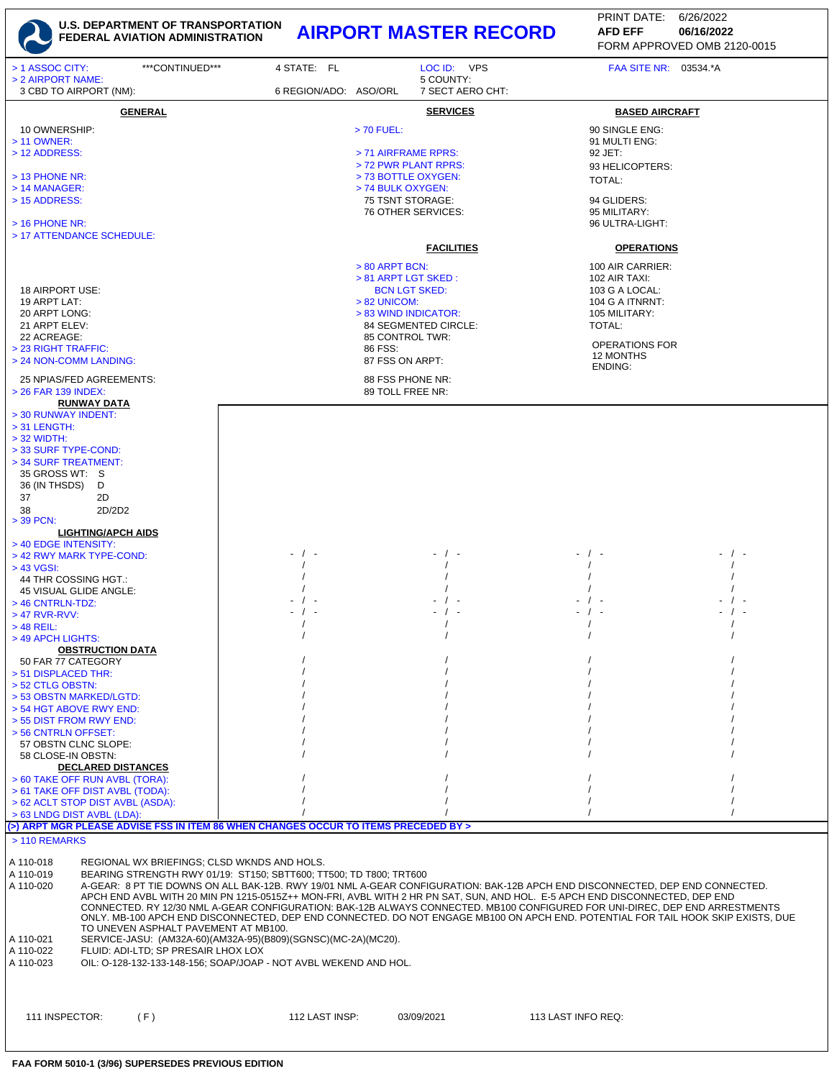

| ***CONTINUED***<br>> 1 ASSOC CITY:<br>> 2 AIRPORT NAME:                                                                                                                                                                                                                                                                                                                                                                                                                                                                                                                                                                                                                                                                                                                                                                                                             | 4 STATE: FL           | LOC ID: VPS<br>5 COUNTY:                                                                                                                                                                                                                                                                                                                                                         | FAA SITE NR: 03534.*A                                                                                                                                                                                                                                                                                              |  |
|---------------------------------------------------------------------------------------------------------------------------------------------------------------------------------------------------------------------------------------------------------------------------------------------------------------------------------------------------------------------------------------------------------------------------------------------------------------------------------------------------------------------------------------------------------------------------------------------------------------------------------------------------------------------------------------------------------------------------------------------------------------------------------------------------------------------------------------------------------------------|-----------------------|----------------------------------------------------------------------------------------------------------------------------------------------------------------------------------------------------------------------------------------------------------------------------------------------------------------------------------------------------------------------------------|--------------------------------------------------------------------------------------------------------------------------------------------------------------------------------------------------------------------------------------------------------------------------------------------------------------------|--|
| 3 CBD TO AIRPORT (NM):                                                                                                                                                                                                                                                                                                                                                                                                                                                                                                                                                                                                                                                                                                                                                                                                                                              | 6 REGION/ADO: ASO/ORL | 7 SECT AERO CHT:                                                                                                                                                                                                                                                                                                                                                                 |                                                                                                                                                                                                                                                                                                                    |  |
| <b>GENERAL</b><br>10 OWNERSHIP:<br>> 11 OWNER:<br>> 12 ADDRESS:<br>$>$ 13 PHONE NR:<br>$>$ 14 MANAGER:<br>> 15 ADDRESS:<br>$>$ 16 PHONE NR:<br>> 17 ATTENDANCE SCHEDULE:<br>18 AIRPORT USE:<br>19 ARPT LAT:<br>20 ARPT LONG:<br>21 ARPT ELEV:<br>22 ACREAGE:<br>> 23 RIGHT TRAFFIC:<br>> 24 NON-COMM LANDING:                                                                                                                                                                                                                                                                                                                                                                                                                                                                                                                                                       |                       | <b>SERVICES</b><br>> 70 FUEL:<br>> 71 AIRFRAME RPRS:<br>> 72 PWR PLANT RPRS:<br>> 73 BOTTLE OXYGEN:<br>> 74 BULK OXYGEN:<br>75 TSNT STORAGE:<br>76 OTHER SERVICES:<br><b>FACILITIES</b><br>$> 80$ ARPT BCN:<br>$> 81$ ARPT LGT SKED :<br><b>BCN LGT SKED:</b><br>$> 82$ UNICOM:<br>> 83 WIND INDICATOR:<br>84 SEGMENTED CIRCLE:<br>85 CONTROL TWR:<br>86 FSS:<br>87 FSS ON ARPT: | <b>BASED AIRCRAFT</b><br>90 SINGLE ENG:<br>91 MULTI ENG:<br>92 JET:<br>93 HELICOPTERS:<br>TOTAL:<br>94 GLIDERS:<br>95 MILITARY:<br>96 ULTRA-LIGHT:<br><b>OPERATIONS</b><br>100 AIR CARRIER:<br>102 AIR TAXI:<br>103 G A LOCAL:<br>104 G A ITNRNT:<br>105 MILITARY:<br>TOTAL:<br>OPERATIONS FOR<br><b>12 MONTHS</b> |  |
| 25 NPIAS/FED AGREEMENTS:                                                                                                                                                                                                                                                                                                                                                                                                                                                                                                                                                                                                                                                                                                                                                                                                                                            |                       | 88 FSS PHONE NR:                                                                                                                                                                                                                                                                                                                                                                 | ENDING:                                                                                                                                                                                                                                                                                                            |  |
| > 26 FAR 139 INDEX:<br><b>RUNWAY DATA</b><br>> 30 RUNWAY INDENT:<br>$>$ 31 LENGTH:<br>$>$ 32 WIDTH:<br>> 33 SURF TYPE-COND:<br>> 34 SURF TREATMENT:<br>35 GROSS WT: S<br>36 (IN THSDS)<br>D<br>37<br>2D<br>2D/2D2<br>38                                                                                                                                                                                                                                                                                                                                                                                                                                                                                                                                                                                                                                             |                       | 89 TOLL FREE NR:                                                                                                                                                                                                                                                                                                                                                                 |                                                                                                                                                                                                                                                                                                                    |  |
| $>$ 39 PCN:<br><b>LIGHTING/APCH AIDS</b>                                                                                                                                                                                                                                                                                                                                                                                                                                                                                                                                                                                                                                                                                                                                                                                                                            |                       |                                                                                                                                                                                                                                                                                                                                                                                  |                                                                                                                                                                                                                                                                                                                    |  |
| > 40 EDGE INTENSITY:                                                                                                                                                                                                                                                                                                                                                                                                                                                                                                                                                                                                                                                                                                                                                                                                                                                | - / -                 |                                                                                                                                                                                                                                                                                                                                                                                  |                                                                                                                                                                                                                                                                                                                    |  |
| > 42 RWY MARK TYPE-COND:<br>> 43 VGSI:                                                                                                                                                                                                                                                                                                                                                                                                                                                                                                                                                                                                                                                                                                                                                                                                                              |                       |                                                                                                                                                                                                                                                                                                                                                                                  |                                                                                                                                                                                                                                                                                                                    |  |
| 44 THR COSSING HGT.:<br>45 VISUAL GLIDE ANGLE:<br>> 46 CNTRLN-TDZ:<br>$>47$ RVR-RVV:<br>$>$ 48 REIL:<br>> 49 APCH LIGHTS:                                                                                                                                                                                                                                                                                                                                                                                                                                                                                                                                                                                                                                                                                                                                           |                       |                                                                                                                                                                                                                                                                                                                                                                                  |                                                                                                                                                                                                                                                                                                                    |  |
| <b>OBSTRUCTION DATA</b>                                                                                                                                                                                                                                                                                                                                                                                                                                                                                                                                                                                                                                                                                                                                                                                                                                             |                       |                                                                                                                                                                                                                                                                                                                                                                                  |                                                                                                                                                                                                                                                                                                                    |  |
| 50 FAR 77 CATEGORY<br>> 51 DISPLACED THR:<br>> 52 CTLG OBSTN:<br>> 53 OBSTN MARKED/LGTD:<br>> 54 HGT ABOVE RWY END:<br>> 55 DIST FROM RWY END:                                                                                                                                                                                                                                                                                                                                                                                                                                                                                                                                                                                                                                                                                                                      |                       |                                                                                                                                                                                                                                                                                                                                                                                  |                                                                                                                                                                                                                                                                                                                    |  |
| > 56 CNTRLN OFFSET:                                                                                                                                                                                                                                                                                                                                                                                                                                                                                                                                                                                                                                                                                                                                                                                                                                                 |                       |                                                                                                                                                                                                                                                                                                                                                                                  |                                                                                                                                                                                                                                                                                                                    |  |
| 57 OBSTN CLNC SLOPE:<br>58 CLOSE-IN OBSTN:                                                                                                                                                                                                                                                                                                                                                                                                                                                                                                                                                                                                                                                                                                                                                                                                                          |                       |                                                                                                                                                                                                                                                                                                                                                                                  |                                                                                                                                                                                                                                                                                                                    |  |
| <b>DECLARED DISTANCES</b><br>> 60 TAKE OFF RUN AVBL (TORA):<br>> 61 TAKE OFF DIST AVBL (TODA):<br>> 62 ACLT STOP DIST AVBL (ASDA):<br>> 63 LNDG DIST AVBL (LDA):<br>(>) ARPT MGR PLEASE ADVISE FSS IN ITEM 86 WHEN CHANGES OCCUR TO ITEMS PRECEDED BY >                                                                                                                                                                                                                                                                                                                                                                                                                                                                                                                                                                                                             |                       |                                                                                                                                                                                                                                                                                                                                                                                  |                                                                                                                                                                                                                                                                                                                    |  |
| > 110 REMARKS                                                                                                                                                                                                                                                                                                                                                                                                                                                                                                                                                                                                                                                                                                                                                                                                                                                       |                       |                                                                                                                                                                                                                                                                                                                                                                                  |                                                                                                                                                                                                                                                                                                                    |  |
| A 110-018<br>REGIONAL WX BRIEFINGS; CLSD WKNDS AND HOLS.<br>A 110-019<br>BEARING STRENGTH RWY 01/19: ST150; SBTT600; TT500; TD T800; TRT600<br>A 110-020<br>A-GEAR: 8 PT TIE DOWNS ON ALL BAK-12B. RWY 19/01 NML A-GEAR CONFIGURATION: BAK-12B APCH END DISCONNECTED, DEP END CONNECTED.<br>APCH END AVBL WITH 20 MIN PN 1215-0515Z++ MON-FRI, AVBL WITH 2 HR PN SAT, SUN, AND HOL. E-5 APCH END DISCONNECTED, DEP END<br>CONNECTED. RY 12/30 NML A-GEAR CONFIGURATION: BAK-12B ALWAYS CONNECTED. MB100 CONFIGURED FOR UNI-DIREC, DEP END ARRESTMENTS<br>ONLY. MB-100 APCH END DISCONNECTED, DEP END CONNECTED. DO NOT ENGAGE MB100 ON APCH END. POTENTIAL FOR TAIL HOOK SKIP EXISTS, DUE<br>TO UNEVEN ASPHALT PAVEMENT AT MB100.<br>SERVICE-JASU: (AM32A-60)(AM32A-95)(B809)(SGNSC)(MC-2A)(MC20).<br>A 110-021<br>FLUID: ADI-LTD; SP PRESAIR LHOX LOX<br>A 110-022 |                       |                                                                                                                                                                                                                                                                                                                                                                                  |                                                                                                                                                                                                                                                                                                                    |  |
| A 110-023<br>OIL: 0-128-132-133-148-156; SOAP/JOAP - NOT AVBL WEKEND AND HOL.                                                                                                                                                                                                                                                                                                                                                                                                                                                                                                                                                                                                                                                                                                                                                                                       |                       |                                                                                                                                                                                                                                                                                                                                                                                  |                                                                                                                                                                                                                                                                                                                    |  |
| 111 INSPECTOR:<br>(F)                                                                                                                                                                                                                                                                                                                                                                                                                                                                                                                                                                                                                                                                                                                                                                                                                                               | 112 LAST INSP:        | 03/09/2021                                                                                                                                                                                                                                                                                                                                                                       | 113 LAST INFO REQ:                                                                                                                                                                                                                                                                                                 |  |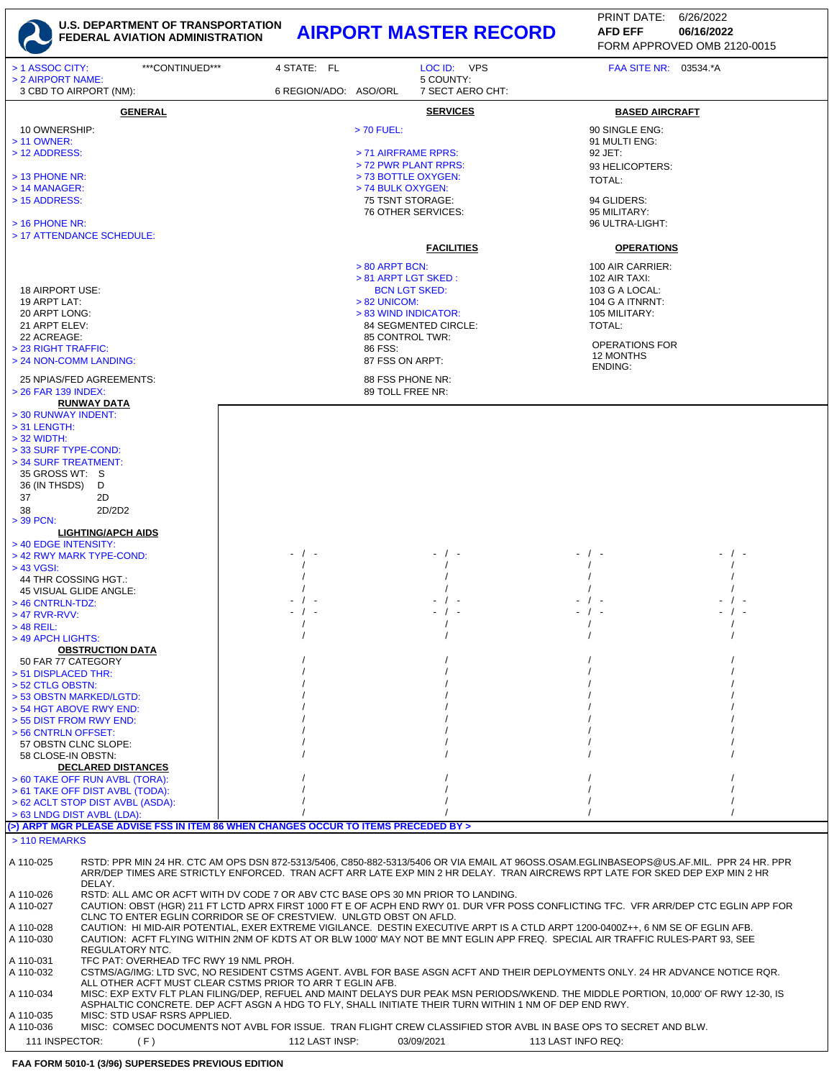

FORM APPROVED OMB 2120-0015 PRINT DATE: 6/26/2022 **AFD EFF**

| > 1 ASSOC CITY:                                                                                      | ***CONTINUED***                                                                                                                       | 4 STATE: FL           |                                             | LOC ID: VPS                   | FAA SITE NR: 03534.*A                                                                                                                                                                                                                                                   |  |
|------------------------------------------------------------------------------------------------------|---------------------------------------------------------------------------------------------------------------------------------------|-----------------------|---------------------------------------------|-------------------------------|-------------------------------------------------------------------------------------------------------------------------------------------------------------------------------------------------------------------------------------------------------------------------|--|
| > 2 AIRPORT NAME:<br>3 CBD TO AIRPORT (NM):                                                          |                                                                                                                                       | 6 REGION/ADO: ASO/ORL |                                             | 5 COUNTY:<br>7 SECT AERO CHT: |                                                                                                                                                                                                                                                                         |  |
|                                                                                                      |                                                                                                                                       |                       |                                             |                               |                                                                                                                                                                                                                                                                         |  |
|                                                                                                      | <b>GENERAL</b>                                                                                                                        |                       |                                             | <b>SERVICES</b>               | <b>BASED AIRCRAFT</b>                                                                                                                                                                                                                                                   |  |
| 10 OWNERSHIP:                                                                                        |                                                                                                                                       |                       | > 70 FUEL:                                  |                               | 90 SINGLE ENG:                                                                                                                                                                                                                                                          |  |
| > 11 OWNER:<br>> 12 ADDRESS:                                                                         |                                                                                                                                       |                       | > 71 AIRFRAME RPRS:                         |                               | 91 MULTI ENG:<br>92 JET:                                                                                                                                                                                                                                                |  |
|                                                                                                      |                                                                                                                                       |                       | > 72 PWR PLANT RPRS:                        |                               | 93 HELICOPTERS:                                                                                                                                                                                                                                                         |  |
| > 13 PHONE NR:                                                                                       |                                                                                                                                       |                       | > 73 BOTTLE OXYGEN:                         |                               | TOTAL:                                                                                                                                                                                                                                                                  |  |
| $>$ 14 MANAGER:<br>> 15 ADDRESS:                                                                     |                                                                                                                                       |                       | > 74 BULK OXYGEN:<br>75 TSNT STORAGE:       |                               | 94 GLIDERS:                                                                                                                                                                                                                                                             |  |
|                                                                                                      |                                                                                                                                       |                       |                                             | 76 OTHER SERVICES:            | 95 MILITARY:                                                                                                                                                                                                                                                            |  |
| $>$ 16 PHONE NR:                                                                                     |                                                                                                                                       |                       |                                             |                               | 96 ULTRA-LIGHT:                                                                                                                                                                                                                                                         |  |
| > 17 ATTENDANCE SCHEDULE:                                                                            |                                                                                                                                       |                       |                                             |                               |                                                                                                                                                                                                                                                                         |  |
|                                                                                                      |                                                                                                                                       |                       |                                             | <b>FACILITIES</b>             | <b>OPERATIONS</b>                                                                                                                                                                                                                                                       |  |
|                                                                                                      |                                                                                                                                       |                       | $> 80$ ARPT BCN:                            |                               | 100 AIR CARRIER:                                                                                                                                                                                                                                                        |  |
| 18 AIRPORT USE:                                                                                      |                                                                                                                                       |                       | > 81 ARPT LGT SKED:<br><b>BCN LGT SKED:</b> |                               | 102 AIR TAXI:<br>103 G A LOCAL:                                                                                                                                                                                                                                         |  |
| 19 ARPT LAT:                                                                                         |                                                                                                                                       |                       | $> 82$ UNICOM:                              |                               | 104 G A ITNRNT:                                                                                                                                                                                                                                                         |  |
| 20 ARPT LONG:                                                                                        |                                                                                                                                       |                       | > 83 WIND INDICATOR:                        |                               | 105 MILITARY:                                                                                                                                                                                                                                                           |  |
| 21 ARPT ELEV:                                                                                        |                                                                                                                                       |                       |                                             | 84 SEGMENTED CIRCLE:          | TOTAL:                                                                                                                                                                                                                                                                  |  |
| 22 ACREAGE:<br>> 23 RIGHT TRAFFIC:                                                                   |                                                                                                                                       |                       | 85 CONTROL TWR:<br>86 FSS:                  |                               | <b>OPERATIONS FOR</b>                                                                                                                                                                                                                                                   |  |
| > 24 NON-COMM LANDING:                                                                               |                                                                                                                                       |                       | 87 FSS ON ARPT:                             |                               | 12 MONTHS                                                                                                                                                                                                                                                               |  |
| 25 NPIAS/FED AGREEMENTS:                                                                             |                                                                                                                                       |                       | 88 FSS PHONE NR:                            |                               | ENDING:                                                                                                                                                                                                                                                                 |  |
| > 26 FAR 139 INDEX:                                                                                  |                                                                                                                                       |                       | 89 TOLL FREE NR:                            |                               |                                                                                                                                                                                                                                                                         |  |
| <b>RUNWAY DATA</b>                                                                                   |                                                                                                                                       |                       |                                             |                               |                                                                                                                                                                                                                                                                         |  |
| > 30 RUNWAY INDENT:                                                                                  |                                                                                                                                       |                       |                                             |                               |                                                                                                                                                                                                                                                                         |  |
| $>$ 31 LENGTH:<br>$>$ 32 WIDTH:                                                                      |                                                                                                                                       |                       |                                             |                               |                                                                                                                                                                                                                                                                         |  |
| > 33 SURF TYPE-COND:                                                                                 |                                                                                                                                       |                       |                                             |                               |                                                                                                                                                                                                                                                                         |  |
| > 34 SURF TREATMENT:                                                                                 |                                                                                                                                       |                       |                                             |                               |                                                                                                                                                                                                                                                                         |  |
| 35 GROSS WT: S<br>36 (IN THSDS)<br>D                                                                 |                                                                                                                                       |                       |                                             |                               |                                                                                                                                                                                                                                                                         |  |
| 37<br>2D                                                                                             |                                                                                                                                       |                       |                                             |                               |                                                                                                                                                                                                                                                                         |  |
| 2D/2D2<br>38                                                                                         |                                                                                                                                       |                       |                                             |                               |                                                                                                                                                                                                                                                                         |  |
| > 39 PCN:<br><b>LIGHTING/APCH AIDS</b>                                                               |                                                                                                                                       |                       |                                             |                               |                                                                                                                                                                                                                                                                         |  |
| > 40 EDGE INTENSITY:                                                                                 |                                                                                                                                       |                       |                                             |                               |                                                                                                                                                                                                                                                                         |  |
| > 42 RWY MARK TYPE-COND:                                                                             |                                                                                                                                       | - / -                 |                                             |                               |                                                                                                                                                                                                                                                                         |  |
| $> 43$ VGSI:<br>44 THR COSSING HGT.:                                                                 |                                                                                                                                       |                       |                                             |                               |                                                                                                                                                                                                                                                                         |  |
| 45 VISUAL GLIDE ANGLE:                                                                               |                                                                                                                                       |                       |                                             |                               |                                                                                                                                                                                                                                                                         |  |
| $>$ 46 CNTRLN-TDZ:                                                                                   |                                                                                                                                       |                       |                                             |                               |                                                                                                                                                                                                                                                                         |  |
| $>47$ RVR-RVV:                                                                                       |                                                                                                                                       | $-$ / $-$             |                                             |                               |                                                                                                                                                                                                                                                                         |  |
| $>$ 48 REIL:<br>> 49 APCH LIGHTS:                                                                    |                                                                                                                                       |                       |                                             |                               |                                                                                                                                                                                                                                                                         |  |
| <b>OBSTRUCTION DATA</b>                                                                              |                                                                                                                                       |                       |                                             |                               |                                                                                                                                                                                                                                                                         |  |
| 50 FAR 77 CATEGORY                                                                                   |                                                                                                                                       |                       |                                             |                               |                                                                                                                                                                                                                                                                         |  |
| > 51 DISPLACED THR:<br>> 52 CTLG OBSTN:                                                              |                                                                                                                                       |                       |                                             |                               |                                                                                                                                                                                                                                                                         |  |
| > 53 OBSTN MARKED/LGTD:                                                                              |                                                                                                                                       |                       |                                             |                               |                                                                                                                                                                                                                                                                         |  |
| > 54 HGT ABOVE RWY END:                                                                              |                                                                                                                                       |                       |                                             |                               |                                                                                                                                                                                                                                                                         |  |
| > 55 DIST FROM RWY END:<br>> 56 CNTRLN OFFSET:                                                       |                                                                                                                                       |                       |                                             |                               |                                                                                                                                                                                                                                                                         |  |
| 57 OBSTN CLNC SLOPE:                                                                                 |                                                                                                                                       |                       |                                             |                               |                                                                                                                                                                                                                                                                         |  |
| 58 CLOSE-IN OBSTN:                                                                                   |                                                                                                                                       |                       |                                             |                               |                                                                                                                                                                                                                                                                         |  |
| <b>DECLARED DISTANCES</b>                                                                            |                                                                                                                                       |                       |                                             |                               |                                                                                                                                                                                                                                                                         |  |
| > 60 TAKE OFF RUN AVBL (TORA):<br>> 61 TAKE OFF DIST AVBL (TODA):                                    |                                                                                                                                       |                       |                                             |                               |                                                                                                                                                                                                                                                                         |  |
| > 62 ACLT STOP DIST AVBL (ASDA):                                                                     |                                                                                                                                       |                       |                                             |                               |                                                                                                                                                                                                                                                                         |  |
| > 63 LNDG DIST AVBL (LDA):                                                                           |                                                                                                                                       |                       |                                             |                               |                                                                                                                                                                                                                                                                         |  |
| (>) ARPT MGR PLEASE ADVISE FSS IN ITEM 86 WHEN CHANGES OCCUR TO ITEMS PRECEDED BY ><br>> 110 REMARKS |                                                                                                                                       |                       |                                             |                               |                                                                                                                                                                                                                                                                         |  |
|                                                                                                      |                                                                                                                                       |                       |                                             |                               |                                                                                                                                                                                                                                                                         |  |
| A 110-025                                                                                            |                                                                                                                                       |                       |                                             |                               | RSTD: PPR MIN 24 HR. CTC AM OPS DSN 872-5313/5406, C850-882-5313/5406 OR VIA EMAIL AT 96OSS.OSAM.EGLINBASEOPS@US.AF.MIL. PPR 24 HR. PPR<br>ARR/DEP TIMES ARE STRICTLY ENFORCED. TRAN ACFT ARR LATE EXP MIN 2 HR DELAY. TRAN AIRCREWS RPT LATE FOR SKED DEP EXP MIN 2 HR |  |
| DELAY.<br>A 110-026                                                                                  | RSTD: ALL AMC OR ACFT WITH DV CODE 7 OR ABV CTC BASE OPS 30 MN PRIOR TO LANDING.                                                      |                       |                                             |                               |                                                                                                                                                                                                                                                                         |  |
| A 110-027                                                                                            |                                                                                                                                       |                       |                                             |                               | CAUTION: OBST (HGR) 211 FT LCTD APRX FIRST 1000 FT E OF ACPH END RWY 01. DUR VFR POSS CONFLICTING TFC. VFR ARR/DEP CTC EGLIN APP FOR                                                                                                                                    |  |
| A 110-028                                                                                            | CLNC TO ENTER EGLIN CORRIDOR SE OF CRESTVIEW. UNLGTD OBST ON AFLD.                                                                    |                       |                                             |                               | CAUTION: HI MID-AIR POTENTIAL, EXER EXTREME VIGILANCE. DESTIN EXECUTIVE ARPT IS A CTLD ARPT 1200-0400Z++, 6 NM SE OF EGLIN AFB.                                                                                                                                         |  |
| A 110-030                                                                                            |                                                                                                                                       |                       |                                             |                               | CAUTION: ACFT FLYING WITHIN 2NM OF KDTS AT OR BLW 1000' MAY NOT BE MNT EGLIN APP FREQ. SPECIAL AIR TRAFFIC RULES-PART 93, SEE                                                                                                                                           |  |
| REGULATORY NTC.                                                                                      |                                                                                                                                       |                       |                                             |                               |                                                                                                                                                                                                                                                                         |  |
| A 110-031<br>A 110-032                                                                               | TFC PAT: OVERHEAD TFC RWY 19 NML PROH.                                                                                                |                       |                                             |                               | CSTMS/AG/IMG: LTD SVC, NO RESIDENT CSTMS AGENT. AVBL FOR BASE ASGN ACFT AND THEIR DEPLOYMENTS ONLY. 24 HR ADVANCE NOTICE RQR.                                                                                                                                           |  |
|                                                                                                      | ALL OTHER ACFT MUST CLEAR CSTMS PRIOR TO ARR T EGLIN AFB.                                                                             |                       |                                             |                               |                                                                                                                                                                                                                                                                         |  |
| A 110-034                                                                                            |                                                                                                                                       |                       |                                             |                               | MISC: EXP EXTV FLT PLAN FILING/DEP, REFUEL AND MAINT DELAYS DUR PEAK MSN PERIODS/WKEND. THE MIDDLE PORTION, 10,000' OF RWY 12-30, IS                                                                                                                                    |  |
| A 110-035                                                                                            | ASPHALTIC CONCRETE. DEP ACFT ASGN A HDG TO FLY, SHALL INITIATE THEIR TURN WITHIN 1 NM OF DEP END RWY.<br>MISC: STD USAF RSRS APPLIED. |                       |                                             |                               |                                                                                                                                                                                                                                                                         |  |
| A 110-036                                                                                            |                                                                                                                                       |                       |                                             |                               | MISC: COMSEC DOCUMENTS NOT AVBL FOR ISSUE. TRAN FLIGHT CREW CLASSIFIED STOR AVBL IN BASE OPS TO SECRET AND BLW.                                                                                                                                                         |  |

111 INSPECTOR: (F) 112 LAST INSP: 03/09/2021 113 LAST INFO REQ: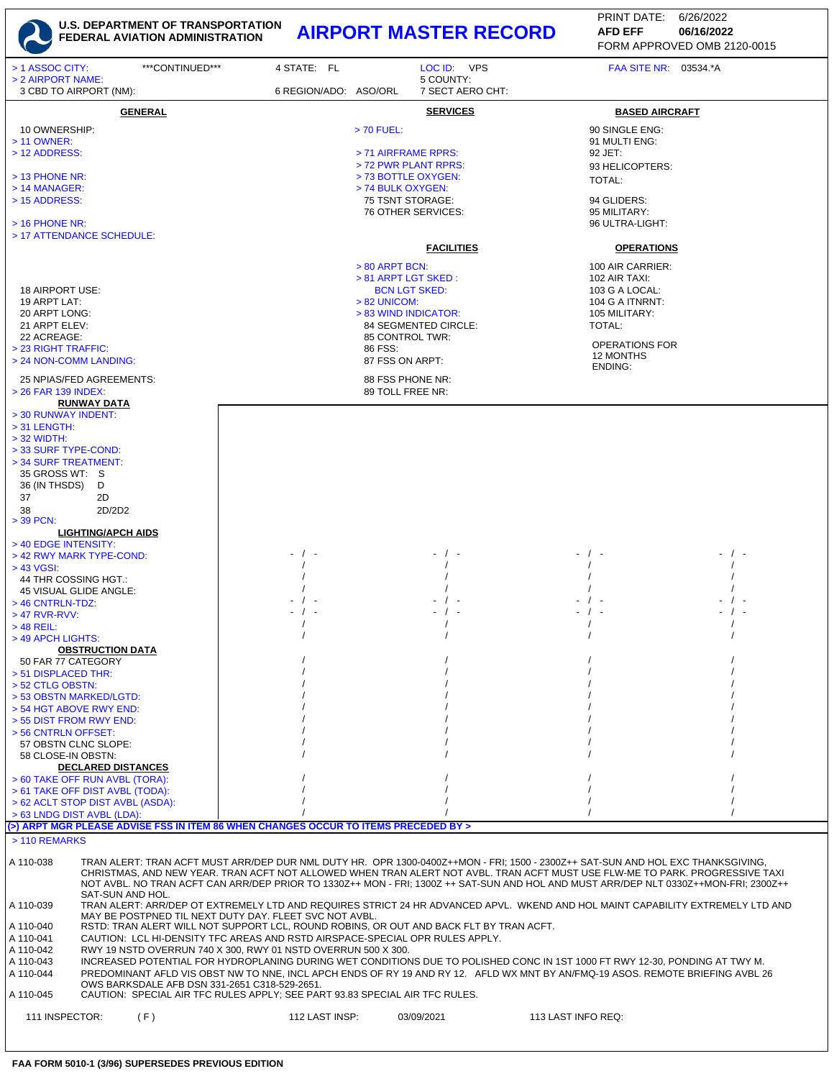

| > 1 ASSOC CITY:<br>> 2 AIRPORT NAME:                                                                                                                                                                                                                                                                                                                                                                                                                                                                                                                                                                                                                                                                                   | ***CONTINUED*** | 4 STATE: FL           |                                                                                                                                                                                                                            | LOC ID: VPS<br>5 COUNTY: | FAA SITE NR: 03534.*A                                                                                                                              |  |
|------------------------------------------------------------------------------------------------------------------------------------------------------------------------------------------------------------------------------------------------------------------------------------------------------------------------------------------------------------------------------------------------------------------------------------------------------------------------------------------------------------------------------------------------------------------------------------------------------------------------------------------------------------------------------------------------------------------------|-----------------|-----------------------|----------------------------------------------------------------------------------------------------------------------------------------------------------------------------------------------------------------------------|--------------------------|----------------------------------------------------------------------------------------------------------------------------------------------------|--|
| 3 CBD TO AIRPORT (NM):                                                                                                                                                                                                                                                                                                                                                                                                                                                                                                                                                                                                                                                                                                 |                 | 6 REGION/ADO: ASO/ORL |                                                                                                                                                                                                                            | 7 SECT AERO CHT:         |                                                                                                                                                    |  |
| 10 OWNERSHIP:<br>> 11 OWNER:<br>> 12 ADDRESS:                                                                                                                                                                                                                                                                                                                                                                                                                                                                                                                                                                                                                                                                          | <b>GENERAL</b>  |                       | $> 70$ FUEL:<br>> 71 AIRFRAME RPRS:<br>> 72 PWR PLANT RPRS:                                                                                                                                                                | <b>SERVICES</b>          | <b>BASED AIRCRAFT</b><br>90 SINGLE ENG:<br>91 MULTI ENG:<br>92 JET:<br>93 HELICOPTERS:                                                             |  |
| $>$ 13 PHONE NR:<br>> 14 MANAGER:<br>> 15 ADDRESS:<br>$>$ 16 PHONE NR:                                                                                                                                                                                                                                                                                                                                                                                                                                                                                                                                                                                                                                                 |                 |                       | > 73 BOTTLE OXYGEN:<br>> 74 BULK OXYGEN:<br>75 TSNT STORAGE:<br>76 OTHER SERVICES:                                                                                                                                         |                          | TOTAL:<br>94 GLIDERS:<br>95 MILITARY:<br>96 ULTRA-LIGHT:                                                                                           |  |
| > 17 ATTENDANCE SCHEDULE:                                                                                                                                                                                                                                                                                                                                                                                                                                                                                                                                                                                                                                                                                              |                 |                       |                                                                                                                                                                                                                            | <b>FACILITIES</b>        | <b>OPERATIONS</b>                                                                                                                                  |  |
| 18 AIRPORT USE:<br>19 ARPT LAT:<br>20 ARPT LONG:<br>21 ARPT ELEV:<br>22 ACREAGE:<br>> 23 RIGHT TRAFFIC:<br>> 24 NON-COMM LANDING:<br>25 NPIAS/FED AGREEMENTS:<br>> 26 FAR 139 INDEX:                                                                                                                                                                                                                                                                                                                                                                                                                                                                                                                                   |                 |                       | $> 80$ ARPT BCN:<br>> 81 ARPT LGT SKED:<br><b>BCN LGT SKED:</b><br>$> 82$ UNICOM:<br>> 83 WIND INDICATOR:<br>84 SEGMENTED CIRCLE:<br>85 CONTROL TWR:<br>86 FSS:<br>87 FSS ON ARPT:<br>88 FSS PHONE NR:<br>89 TOLL FREE NR: |                          | 100 AIR CARRIER:<br>102 AIR TAXI:<br>103 G A LOCAL:<br>104 G A ITNRNT:<br>105 MILITARY:<br>TOTAL:<br><b>OPERATIONS FOR</b><br>12 MONTHS<br>ENDING: |  |
| <b>RUNWAY DATA</b><br>> 30 RUNWAY INDENT:<br>$>$ 31 LENGTH:<br>$>$ 32 WIDTH:<br>> 33 SURF TYPE-COND:<br>> 34 SURF TREATMENT:<br>35 GROSS WT: S<br>36 (IN THSDS)<br>D<br>37<br>2D<br>2D/2D2<br>38<br>$>$ 39 PCN:<br><b>LIGHTING/APCH AIDS</b><br>> 40 EDGE INTENSITY:                                                                                                                                                                                                                                                                                                                                                                                                                                                   |                 |                       |                                                                                                                                                                                                                            |                          |                                                                                                                                                    |  |
| > 42 RWY MARK TYPE-COND:<br>> 43 VGSI:<br>44 THR COSSING HGT.:<br>45 VISUAL GLIDE ANGLE:<br>$>$ 46 CNTRLN-TDZ:<br>$>47$ RVR-RVV:<br>$>$ 48 REIL:<br>> 49 APCH LIGHTS:                                                                                                                                                                                                                                                                                                                                                                                                                                                                                                                                                  |                 | - / -<br>$\sqrt{ }$   |                                                                                                                                                                                                                            |                          | $\sqrt{ }$                                                                                                                                         |  |
| <b>OBSTRUCTION DATA</b><br>50 FAR 77 CATEGORY<br>> 51 DISPLACED THR:<br>> 52 CTLG OBSTN:<br>> 53 OBSTN MARKED/LGTD:<br>> 54 HGT ABOVE RWY END:<br>> 55 DIST FROM RWY END:<br>> 56 CNTRLN OFFSET:<br>57 OBSTN CLNC SLOPE:<br>58 CLOSE-IN OBSTN:                                                                                                                                                                                                                                                                                                                                                                                                                                                                         |                 |                       |                                                                                                                                                                                                                            |                          |                                                                                                                                                    |  |
| <b>DECLARED DISTANCES</b><br>> 60 TAKE OFF RUN AVBL (TORA):<br>> 61 TAKE OFF DIST AVBL (TODA):<br>> 62 ACLT STOP DIST AVBL (ASDA):<br>> 63 LNDG DIST AVBL (LDA):<br>(>) ARPT MGR PLEASE ADVISE FSS IN ITEM 86 WHEN CHANGES OCCUR TO ITEMS PRECEDED BY >                                                                                                                                                                                                                                                                                                                                                                                                                                                                |                 |                       |                                                                                                                                                                                                                            |                          |                                                                                                                                                    |  |
| > 110 REMARKS                                                                                                                                                                                                                                                                                                                                                                                                                                                                                                                                                                                                                                                                                                          |                 |                       |                                                                                                                                                                                                                            |                          |                                                                                                                                                    |  |
| TRAN ALERT: TRAN ACFT MUST ARR/DEP DUR NML DUTY HR. OPR 1300-0400Z++MON - FRI; 1500 - 2300Z++ SAT-SUN AND HOL EXC THANKSGIVING,<br>A 110-038<br>CHRISTMAS, AND NEW YEAR. TRAN ACFT NOT ALLOWED WHEN TRAN ALERT NOT AVBL. TRAN ACFT MUST USE FLW-ME TO PARK. PROGRESSIVE TAXI<br>NOT AVBL. NO TRAN ACFT CAN ARR/DEP PRIOR TO 1330Z++ MON - FRI; 1300Z ++ SAT-SUN AND HOL AND MUST ARR/DEP NLT 0330Z++MON-FRI; 2300Z++<br>SAT-SUN AND HOL.<br>TRAN ALERT: ARR/DEP OT EXTREMELY LTD AND REQUIRES STRICT 24 HR ADVANCED APVL. WKEND AND HOL MAINT CAPABILITY EXTREMELY LTD AND<br>A 110-039<br>MAY BE POSTPNED TIL NEXT DUTY DAY. FLEET SVC NOT AVBL.                                                                      |                 |                       |                                                                                                                                                                                                                            |                          |                                                                                                                                                    |  |
| RSTD: TRAN ALERT WILL NOT SUPPORT LCL, ROUND ROBINS, OR OUT AND BACK FLT BY TRAN ACFT.<br>A 110-040<br>CAUTION: LCL HI-DENSITY TFC AREAS AND RSTD AIRSPACE-SPECIAL OPR RULES APPLY.<br>A 110-041<br>RWY 19 NSTD OVERRUN 740 X 300, RWY 01 NSTD OVERRUN 500 X 300.<br>A 110-042<br>A 110-043<br>INCREASED POTENTIAL FOR HYDROPLANING DURING WET CONDITIONS DUE TO POLISHED CONC IN 1ST 1000 FT RWY 12-30, PONDING AT TWY M.<br>PREDOMINANT AFLD VIS OBST NW TO NNE, INCL APCH ENDS OF RY 19 AND RY 12. AFLD WX MNT BY AN/FMQ-19 ASOS. REMOTE BRIEFING AVBL 26<br>A 110-044<br>OWS BARKSDALE AFB DSN 331-2651 C318-529-2651.<br>A 110-045<br>CAUTION: SPECIAL AIR TFC RULES APPLY; SEE PART 93.83 SPECIAL AIR TFC RULES. |                 |                       |                                                                                                                                                                                                                            |                          |                                                                                                                                                    |  |
| 111 INSPECTOR:                                                                                                                                                                                                                                                                                                                                                                                                                                                                                                                                                                                                                                                                                                         | (F)             | 112 LAST INSP:        | 03/09/2021                                                                                                                                                                                                                 |                          | 113 LAST INFO REQ:                                                                                                                                 |  |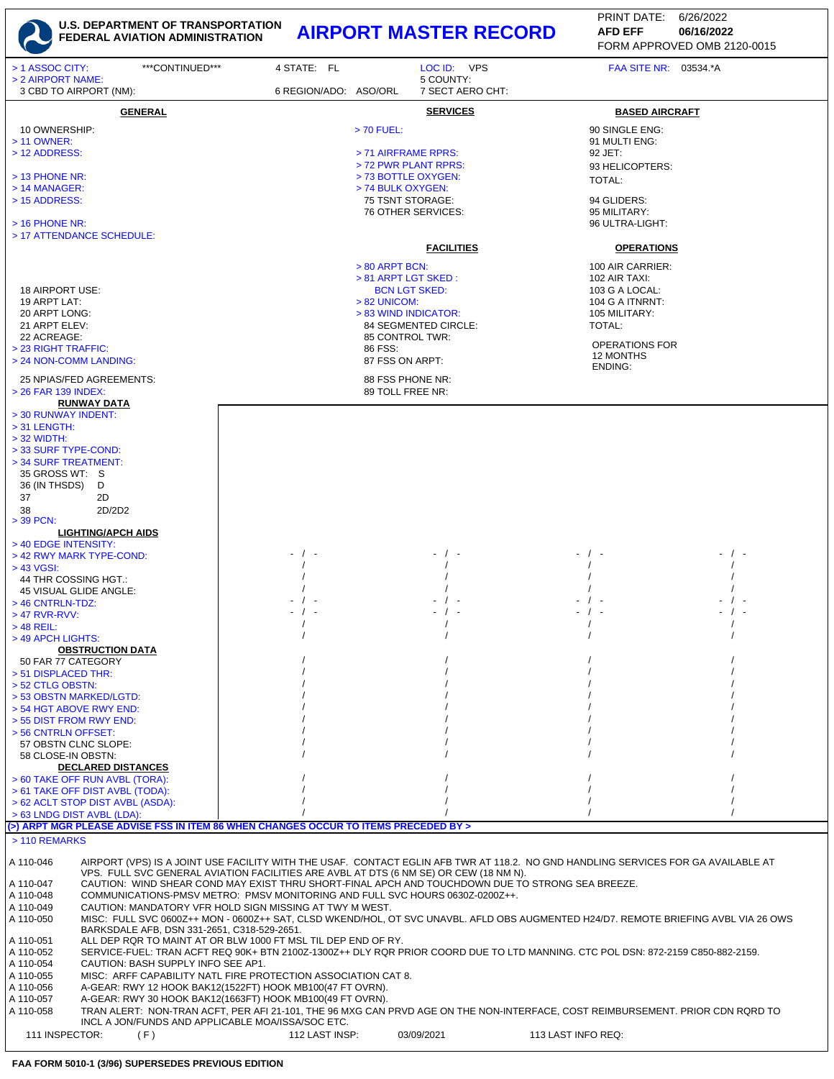

| ***CONTINUED***<br>> 1 ASSOC CITY:<br>> 2 AIRPORT NAME:                                                                                                                                                       | 4 STATE: FL           | LOC ID: VPS<br>5 COUNTY:               | FAA SITE NR: 03534.*A                                                                                                               |  |
|---------------------------------------------------------------------------------------------------------------------------------------------------------------------------------------------------------------|-----------------------|----------------------------------------|-------------------------------------------------------------------------------------------------------------------------------------|--|
| 3 CBD TO AIRPORT (NM):                                                                                                                                                                                        | 6 REGION/ADO: ASO/ORL | 7 SECT AERO CHT:                       |                                                                                                                                     |  |
| <b>GENERAL</b>                                                                                                                                                                                                |                       | <b>SERVICES</b>                        | <b>BASED AIRCRAFT</b>                                                                                                               |  |
| 10 OWNERSHIP:                                                                                                                                                                                                 |                       | > 70 FUEL:                             | 90 SINGLE ENG:                                                                                                                      |  |
| $> 11$ OWNER:<br>> 12 ADDRESS:                                                                                                                                                                                |                       | > 71 AIRFRAME RPRS:                    | 91 MULTI ENG:<br>92 JET:                                                                                                            |  |
|                                                                                                                                                                                                               |                       | > 72 PWR PLANT RPRS:                   | 93 HELICOPTERS:                                                                                                                     |  |
| > 13 PHONE NR:                                                                                                                                                                                                |                       | > 73 BOTTLE OXYGEN:                    | TOTAL:                                                                                                                              |  |
| $>$ 14 MANAGER:<br>> 15 ADDRESS:                                                                                                                                                                              |                       | > 74 BULK OXYGEN:<br>75 TSNT STORAGE:  | 94 GLIDERS:                                                                                                                         |  |
|                                                                                                                                                                                                               |                       | 76 OTHER SERVICES:                     | 95 MILITARY:                                                                                                                        |  |
| $>$ 16 PHONE NR:<br>> 17 ATTENDANCE SCHEDULE:                                                                                                                                                                 |                       |                                        | 96 ULTRA-LIGHT:                                                                                                                     |  |
|                                                                                                                                                                                                               |                       | <b>FACILITIES</b>                      | <b>OPERATIONS</b>                                                                                                                   |  |
|                                                                                                                                                                                                               |                       | $> 80$ ARPT BCN:                       | 100 AIR CARRIER:                                                                                                                    |  |
|                                                                                                                                                                                                               |                       | > 81 ARPT LGT SKED:                    | 102 AIR TAXI:                                                                                                                       |  |
| 18 AIRPORT USE:                                                                                                                                                                                               |                       | <b>BCN LGT SKED:</b>                   | 103 G A LOCAL:                                                                                                                      |  |
| 19 ARPT LAT:<br>20 ARPT LONG:                                                                                                                                                                                 |                       | $> 82$ UNICOM:<br>> 83 WIND INDICATOR: | 104 G A ITNRNT:<br>105 MILITARY:                                                                                                    |  |
| 21 ARPT ELEV:                                                                                                                                                                                                 |                       | 84 SEGMENTED CIRCLE:                   | <b>TOTAL:</b>                                                                                                                       |  |
| 22 ACREAGE:<br>> 23 RIGHT TRAFFIC:                                                                                                                                                                            |                       | 85 CONTROL TWR:<br>86 FSS:             | <b>OPERATIONS FOR</b>                                                                                                               |  |
| > 24 NON-COMM LANDING:                                                                                                                                                                                        |                       | 87 FSS ON ARPT:                        | 12 MONTHS                                                                                                                           |  |
| 25 NPIAS/FED AGREEMENTS:                                                                                                                                                                                      |                       | 88 FSS PHONE NR:                       | ENDING:                                                                                                                             |  |
| > 26 FAR 139 INDEX:                                                                                                                                                                                           |                       | 89 TOLL FREE NR:                       |                                                                                                                                     |  |
| <b>RUNWAY DATA</b><br>> 30 RUNWAY INDENT:                                                                                                                                                                     |                       |                                        |                                                                                                                                     |  |
| $>$ 31 LENGTH:                                                                                                                                                                                                |                       |                                        |                                                                                                                                     |  |
| $>$ 32 WIDTH:                                                                                                                                                                                                 |                       |                                        |                                                                                                                                     |  |
| > 33 SURF TYPE-COND:<br>> 34 SURF TREATMENT:                                                                                                                                                                  |                       |                                        |                                                                                                                                     |  |
| 35 GROSS WT: S                                                                                                                                                                                                |                       |                                        |                                                                                                                                     |  |
| 36 (IN THSDS)<br>D                                                                                                                                                                                            |                       |                                        |                                                                                                                                     |  |
| 37<br>2D<br>2D/2D2<br>38                                                                                                                                                                                      |                       |                                        |                                                                                                                                     |  |
| > 39 PCN:                                                                                                                                                                                                     |                       |                                        |                                                                                                                                     |  |
| <b>LIGHTING/APCH AIDS</b><br>> 40 EDGE INTENSITY:                                                                                                                                                             |                       |                                        |                                                                                                                                     |  |
| > 42 RWY MARK TYPE-COND:                                                                                                                                                                                      | - / -                 |                                        | - / -                                                                                                                               |  |
| > 43 VGSI:                                                                                                                                                                                                    |                       |                                        |                                                                                                                                     |  |
| 44 THR COSSING HGT.:<br>45 VISUAL GLIDE ANGLE:                                                                                                                                                                |                       |                                        |                                                                                                                                     |  |
| > 46 CNTRLN-TDZ:                                                                                                                                                                                              |                       |                                        |                                                                                                                                     |  |
| $>$ 47 RVR-RVV:                                                                                                                                                                                               | - / -                 |                                        |                                                                                                                                     |  |
| $>$ 48 REIL:<br>> 49 APCH LIGHTS:                                                                                                                                                                             |                       |                                        |                                                                                                                                     |  |
| <b>OBSTRUCTION DATA</b>                                                                                                                                                                                       |                       |                                        |                                                                                                                                     |  |
| 50 FAR 77 CATEGORY<br>> 51 DISPLACED THR:                                                                                                                                                                     |                       |                                        |                                                                                                                                     |  |
| > 52 CTLG OBSTN:                                                                                                                                                                                              |                       |                                        |                                                                                                                                     |  |
| > 53 OBSTN MARKED/LGTD:                                                                                                                                                                                       |                       |                                        |                                                                                                                                     |  |
| > 54 HGT ABOVE RWY END:<br>> 55 DIST FROM RWY END:                                                                                                                                                            |                       |                                        |                                                                                                                                     |  |
| > 56 CNTRLN OFFSET:                                                                                                                                                                                           |                       |                                        |                                                                                                                                     |  |
| 57 OBSTN CLNC SLOPE:<br>58 CLOSE-IN OBSTN:                                                                                                                                                                    |                       |                                        |                                                                                                                                     |  |
| <b>DECLARED DISTANCES</b>                                                                                                                                                                                     |                       |                                        |                                                                                                                                     |  |
| > 60 TAKE OFF RUN AVBL (TORA):                                                                                                                                                                                |                       |                                        |                                                                                                                                     |  |
| > 61 TAKE OFF DIST AVBL (TODA):<br>> 62 ACLT STOP DIST AVBL (ASDA):                                                                                                                                           |                       |                                        |                                                                                                                                     |  |
| > 63 LNDG DIST AVBL (LDA):                                                                                                                                                                                    |                       |                                        |                                                                                                                                     |  |
| (>) ARPT MGR PLEASE ADVISE FSS IN ITEM 86 WHEN CHANGES OCCUR TO ITEMS PRECEDED BY >                                                                                                                           |                       |                                        |                                                                                                                                     |  |
| > 110 REMARKS                                                                                                                                                                                                 |                       |                                        |                                                                                                                                     |  |
| A 110-046                                                                                                                                                                                                     |                       |                                        | AIRPORT (VPS) IS A JOINT USE FACILITY WITH THE USAF. CONTACT EGLIN AFB TWR AT 118.2. NO GND HANDLING SERVICES FOR GA AVAILABLE AT   |  |
| VPS. FULL SVC GENERAL AVIATION FACILITIES ARE AVBL AT DTS (6 NM SE) OR CEW (18 NM N).<br>A 110-047                                                                                                            |                       |                                        | CAUTION: WIND SHEAR COND MAY EXIST THRU SHORT-FINAL APCH AND TOUCHDOWN DUE TO STRONG SEA BREEZE.                                    |  |
| COMMUNICATIONS-PMSV METRO: PMSV MONITORING AND FULL SVC HOURS 0630Z-0200Z++.<br>A 110-048                                                                                                                     |                       |                                        |                                                                                                                                     |  |
| A 110-049<br>CAUTION: MANDATORY VFR HOLD SIGN MISSING AT TWY M WEST.<br>A 110-050                                                                                                                             |                       |                                        | MISC: FULL SVC 0600Z++ MON - 0600Z++ SAT, CLSD WKEND/HOL, OT SVC UNAVBL. AFLD OBS AUGMENTED H24/D7. REMOTE BRIEFING AVBL VIA 26 OWS |  |
| BARKSDALE AFB, DSN 331-2651, C318-529-2651.                                                                                                                                                                   |                       |                                        |                                                                                                                                     |  |
| ALL DEP RQR TO MAINT AT OR BLW 1000 FT MSL TIL DEP END OF RY.<br>A 110-051<br>SERVICE-FUEL: TRAN ACFT REQ 90K+ BTN 2100Z-1300Z++ DLY RQR PRIOR COORD DUE TO LTD MANNING. CTC POL DSN: 872-2159 C850-882-2159. |                       |                                        |                                                                                                                                     |  |
| A 110-052<br>A 110-054<br>CAUTION: BASH SUPPLY INFO SEE AP1.                                                                                                                                                  |                       |                                        |                                                                                                                                     |  |
| A 110-055<br>MISC: ARFF CAPABILITY NATL FIRE PROTECTION ASSOCIATION CAT 8.                                                                                                                                    |                       |                                        |                                                                                                                                     |  |
| A 110-056<br>A-GEAR: RWY 12 HOOK BAK12(1522FT) HOOK MB100(47 FT OVRN).<br>A-GEAR: RWY 30 HOOK BAK12(1663FT) HOOK MB100(49 FT OVRN).<br>A 110-057                                                              |                       |                                        |                                                                                                                                     |  |
| A 110-058                                                                                                                                                                                                     |                       |                                        | TRAN ALERT: NON-TRAN ACFT, PER AFI 21-101, THE 96 MXG CAN PRVD AGE ON THE NON-INTERFACE, COST REIMBURSEMENT. PRIOR CDN RQRD TO      |  |
| INCL A JON/FUNDS AND APPLICABLE MOA/ISSA/SOC ETC.                                                                                                                                                             |                       |                                        |                                                                                                                                     |  |
| 111 INSPECTOR:<br>(F)                                                                                                                                                                                         | 112 LAST INSP:        | 03/09/2021                             | 113 LAST INFO REQ:                                                                                                                  |  |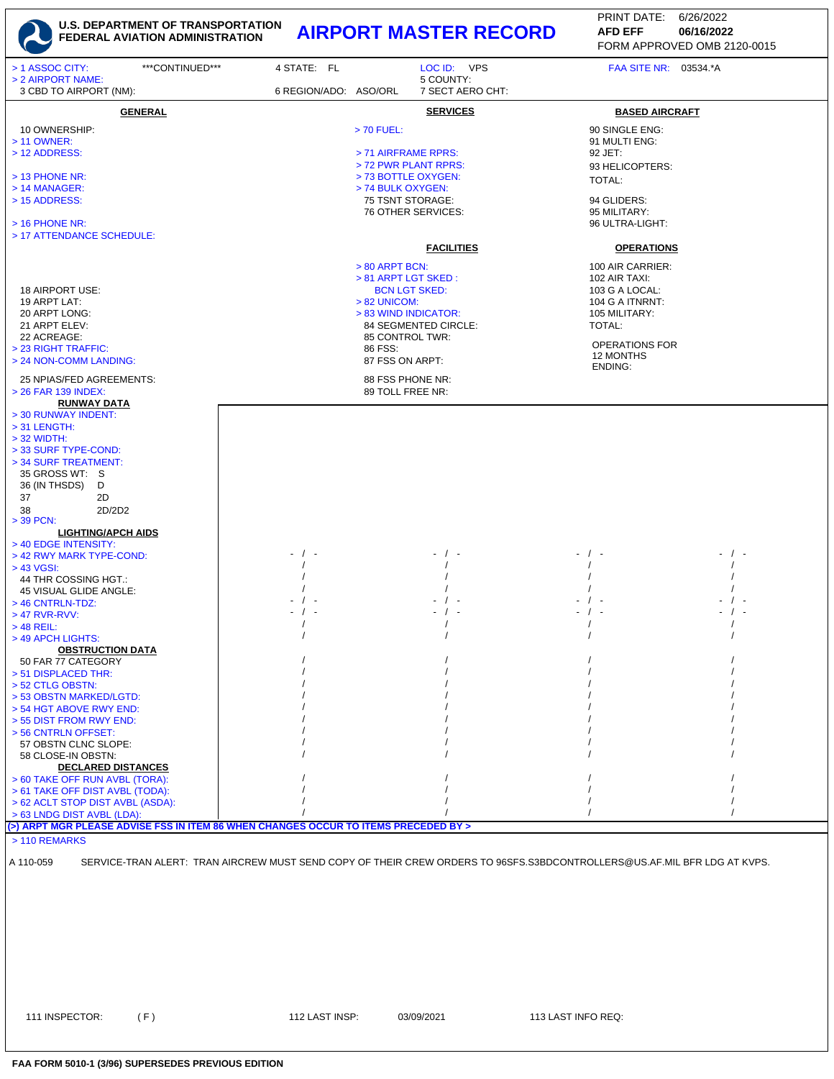

FORM APPROVED OMB 2120-0015 PRINT DATE: 6/26/2022 **AFD EFF**

| > 1 ASSOC CITY:<br>***CONTINUED***                                                  | 4 STATE: FL           | LOC ID: VPS                                                                                                              | FAA SITE NR: 03534.*A |  |
|-------------------------------------------------------------------------------------|-----------------------|--------------------------------------------------------------------------------------------------------------------------|-----------------------|--|
| > 2 AIRPORT NAME:                                                                   |                       | 5 COUNTY:                                                                                                                |                       |  |
| 3 CBD TO AIRPORT (NM):                                                              | 6 REGION/ADO: ASO/ORL | 7 SECT AERO CHT:                                                                                                         |                       |  |
|                                                                                     |                       |                                                                                                                          |                       |  |
| <b>GENERAL</b>                                                                      |                       | <b>SERVICES</b>                                                                                                          | <b>BASED AIRCRAFT</b> |  |
| 10 OWNERSHIP:                                                                       |                       | $> 70$ FUEL:                                                                                                             | 90 SINGLE ENG:        |  |
| > 11 OWNER:                                                                         |                       |                                                                                                                          | 91 MULTI ENG:         |  |
| > 12 ADDRESS:                                                                       |                       | > 71 AIRFRAME RPRS:                                                                                                      | 92 JET:               |  |
|                                                                                     |                       | > 72 PWR PLANT RPRS:                                                                                                     | 93 HELICOPTERS:       |  |
| > 13 PHONE NR:                                                                      |                       | > 73 BOTTLE OXYGEN:                                                                                                      | <b>TOTAL:</b>         |  |
| $>$ 14 MANAGER:                                                                     |                       | > 74 BULK OXYGEN:                                                                                                        |                       |  |
| > 15 ADDRESS:                                                                       |                       | 75 TSNT STORAGE:                                                                                                         | 94 GLIDERS:           |  |
|                                                                                     |                       | 76 OTHER SERVICES:                                                                                                       | 95 MILITARY:          |  |
| $>$ 16 PHONE NR:                                                                    |                       |                                                                                                                          | 96 ULTRA-LIGHT:       |  |
| > 17 ATTENDANCE SCHEDULE:                                                           |                       |                                                                                                                          |                       |  |
|                                                                                     |                       | <b>FACILITIES</b>                                                                                                        | <b>OPERATIONS</b>     |  |
|                                                                                     |                       |                                                                                                                          |                       |  |
|                                                                                     |                       | > 80 ARPT BCN:                                                                                                           | 100 AIR CARRIER:      |  |
|                                                                                     |                       | > 81 ARPT LGT SKED :                                                                                                     | 102 AIR TAXI:         |  |
| 18 AIRPORT USE:                                                                     |                       | <b>BCN LGT SKED:</b>                                                                                                     | 103 G A LOCAL:        |  |
| 19 ARPT LAT:                                                                        |                       | $> 82$ UNICOM:                                                                                                           | 104 G A ITNRNT:       |  |
| 20 ARPT LONG:                                                                       |                       | > 83 WIND INDICATOR:                                                                                                     | 105 MILITARY:         |  |
| 21 ARPT ELEV:                                                                       |                       | 84 SEGMENTED CIRCLE:                                                                                                     | TOTAL:                |  |
| 22 ACREAGE:                                                                         |                       | 85 CONTROL TWR:                                                                                                          |                       |  |
| > 23 RIGHT TRAFFIC:                                                                 |                       | 86 FSS:                                                                                                                  | <b>OPERATIONS FOR</b> |  |
| > 24 NON-COMM LANDING:                                                              |                       | 87 FSS ON ARPT:                                                                                                          | 12 MONTHS<br>ENDING:  |  |
|                                                                                     |                       |                                                                                                                          |                       |  |
| 25 NPIAS/FED AGREEMENTS:<br>> 26 FAR 139 INDEX:                                     |                       | 88 FSS PHONE NR:<br>89 TOLL FREE NR:                                                                                     |                       |  |
|                                                                                     |                       |                                                                                                                          |                       |  |
| <b>RUNWAY DATA</b><br>> 30 RUNWAY INDENT:                                           |                       |                                                                                                                          |                       |  |
| $>$ 31 LENGTH:                                                                      |                       |                                                                                                                          |                       |  |
| $>$ 32 WIDTH:                                                                       |                       |                                                                                                                          |                       |  |
|                                                                                     |                       |                                                                                                                          |                       |  |
| > 33 SURF TYPE-COND:<br>> 34 SURF TREATMENT:                                        |                       |                                                                                                                          |                       |  |
| 35 GROSS WT: S                                                                      |                       |                                                                                                                          |                       |  |
|                                                                                     |                       |                                                                                                                          |                       |  |
| 36 (IN THSDS)<br>D                                                                  |                       |                                                                                                                          |                       |  |
| 37<br>2D                                                                            |                       |                                                                                                                          |                       |  |
| 38<br>2D/2D2                                                                        |                       |                                                                                                                          |                       |  |
| $>$ 39 PCN:                                                                         |                       |                                                                                                                          |                       |  |
| <b>LIGHTING/APCH AIDS</b>                                                           |                       |                                                                                                                          |                       |  |
| > 40 EDGE INTENSITY:                                                                | - / -                 |                                                                                                                          |                       |  |
| > 42 RWY MARK TYPE-COND:                                                            |                       |                                                                                                                          |                       |  |
| > 43 VGSI:                                                                          |                       |                                                                                                                          |                       |  |
| 44 THR COSSING HGT.:<br>45 VISUAL GLIDE ANGLE:                                      |                       |                                                                                                                          |                       |  |
| > 46 CNTRLN-TDZ:                                                                    |                       |                                                                                                                          |                       |  |
| > 47 RVR-RVV:                                                                       |                       |                                                                                                                          |                       |  |
| $>$ 48 REIL:                                                                        |                       |                                                                                                                          |                       |  |
| > 49 APCH LIGHTS:                                                                   |                       |                                                                                                                          |                       |  |
| <b>OBSTRUCTION DATA</b>                                                             |                       |                                                                                                                          |                       |  |
| 50 FAR 77 CATEGORY                                                                  |                       |                                                                                                                          |                       |  |
| > 51 DISPLACED THR:                                                                 |                       |                                                                                                                          |                       |  |
| > 52 CTLG OBSTN:                                                                    |                       |                                                                                                                          |                       |  |
| > 53 OBSTN MARKED/LGTD:                                                             |                       |                                                                                                                          |                       |  |
| > 54 HGT ABOVE RWY END:                                                             |                       |                                                                                                                          |                       |  |
| > 55 DIST FROM RWY END:                                                             |                       |                                                                                                                          |                       |  |
| > 56 CNTRLN OFFSET:                                                                 |                       |                                                                                                                          |                       |  |
| 57 OBSTN CLNC SLOPE:                                                                |                       |                                                                                                                          |                       |  |
| 58 CLOSE-IN OBSTN:                                                                  |                       |                                                                                                                          |                       |  |
| <b>DECLARED DISTANCES</b>                                                           |                       |                                                                                                                          |                       |  |
| > 60 TAKE OFF RUN AVBL (TORA):                                                      |                       |                                                                                                                          |                       |  |
| > 61 TAKE OFF DIST AVBL (TODA):                                                     |                       |                                                                                                                          |                       |  |
| > 62 ACLT STOP DIST AVBL (ASDA):                                                    |                       |                                                                                                                          |                       |  |
| > 63 LNDG DIST AVBL (LDA):                                                          |                       |                                                                                                                          |                       |  |
| (>) ARPT MGR PLEASE ADVISE FSS IN ITEM 86 WHEN CHANGES OCCUR TO ITEMS PRECEDED BY > |                       |                                                                                                                          |                       |  |
| > 110 REMARKS                                                                       |                       |                                                                                                                          |                       |  |
|                                                                                     |                       |                                                                                                                          |                       |  |
| A 110-059                                                                           |                       | SERVICE-TRAN ALERT: TRAN AIRCREW MUST SEND COPY OF THEIR CREW ORDERS TO 96SFS.S3BDCONTROLLERS@US.AF.MIL BFR LDG AT KVPS. |                       |  |
|                                                                                     |                       |                                                                                                                          |                       |  |
|                                                                                     |                       |                                                                                                                          |                       |  |
|                                                                                     |                       |                                                                                                                          |                       |  |
|                                                                                     |                       |                                                                                                                          |                       |  |
|                                                                                     |                       |                                                                                                                          |                       |  |

111 INSPECTOR: (F) 112 LAST INSP: 03/09/2021 113 LAST INFO REQ: